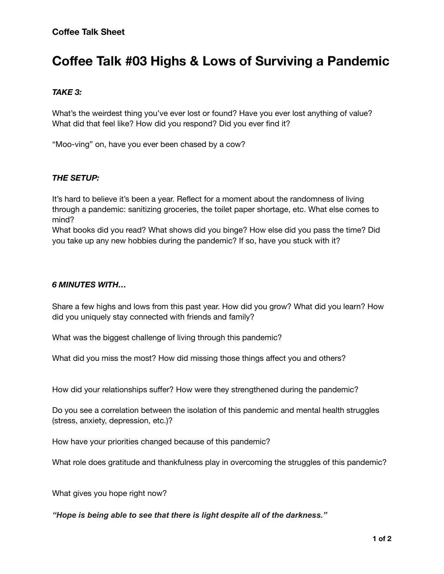# **Coffee Talk #03 Highs & Lows of Surviving a Pandemic**

## *TAKE 3:*

What's the weirdest thing you've ever lost or found? Have you ever lost anything of value? What did that feel like? How did you respond? Did you ever find it?

"Moo-ving" on, have you ever been chased by a cow?

## *THE SETUP:*

It's hard to believe it's been a year. Reflect for a moment about the randomness of living through a pandemic: sanitizing groceries, the toilet paper shortage, etc. What else comes to mind?

What books did you read? What shows did you binge? How else did you pass the time? Did you take up any new hobbies during the pandemic? If so, have you stuck with it?

#### *6 MINUTES WITH…*

Share a few highs and lows from this past year. How did you grow? What did you learn? How did you uniquely stay connected with friends and family?

What was the biggest challenge of living through this pandemic?

What did you miss the most? How did missing those things affect you and others?

How did your relationships suffer? How were they strengthened during the pandemic?

Do you see a correlation between the isolation of this pandemic and mental health struggles (stress, anxiety, depression, etc.)?

How have your priorities changed because of this pandemic?

What role does gratitude and thankfulness play in overcoming the struggles of this pandemic?

What gives you hope right now?

*"Hope is being able to see that there is light despite all of the darkness."*